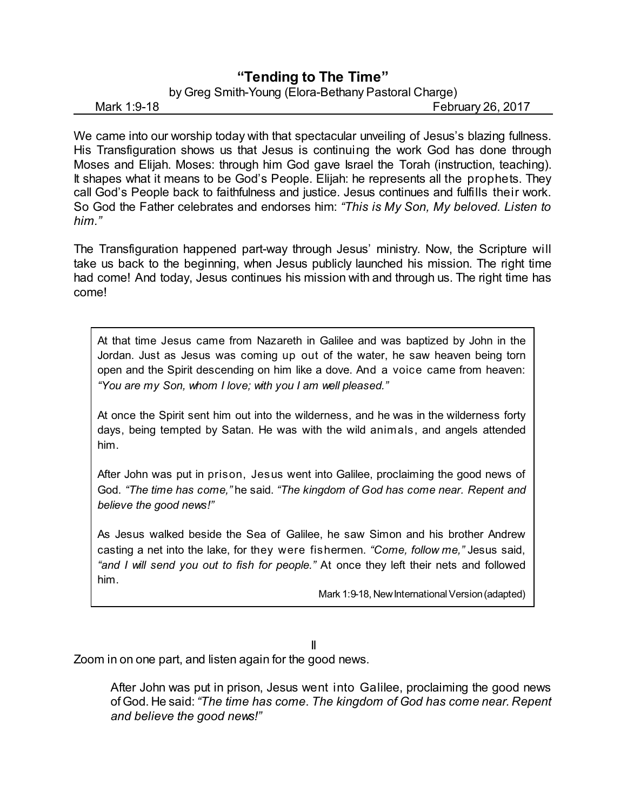## **"Tending to The Time"**

## by Greg Smith-Young (Elora-Bethany Pastoral Charge)

Mark 1:9-18 **Mark 1:9-18** February 26, 2017

We came into our worship today with that spectacular unveiling of Jesus's blazing fullness. His Transfiguration shows us that Jesus is continuing the work God has done through Moses and Elijah. Moses: through him God gave Israel the Torah (instruction, teaching). It shapes what it means to be God's People. Elijah: he represents all the prophets. They call God's People back to faithfulness and justice. Jesus continues and fulfills their work. So God the Father celebrates and endorses him: *"This is My Son, My beloved. Listen to him."*

The Transfiguration happened part-way through Jesus' ministry. Now, the Scripture will take us back to the beginning, when Jesus publicly launched his mission. The right time had come! And today, Jesus continues his mission with and through us. The right time has come!

At that time Jesus came from Nazareth in Galilee and was baptized by John in the Jordan. Just as Jesus was coming up out of the water, he saw heaven being torn open and the Spirit descending on him like a dove. And a voice came from heaven: *"You are my Son, whom I love; with you I am well pleased."*

At once the Spirit sent him out into the wilderness, and he was in the wilderness forty days, being tempted by Satan. He was with the wild animals, and angels attended him.

After John was put in prison, Jesus went into Galilee, proclaiming the good news of God. *"The time has come,"* he said. *"The kingdom of God has come near. Repent and believe the good news!"*

As Jesus walked beside the Sea of Galilee, he saw Simon and his brother Andrew casting a net into the lake, for they were fishermen. *"Come, follow me,"* Jesus said, *"and I will send you out to fish for people."* At once they left their nets and followed him.

Mark 1:9-18, New International Version (adapted)

## II

Zoom in on one part, and listen again for the good news.

After John was put in prison, Jesus went into Galilee, proclaiming the good news of God. He said:*"The time has come*. *The kingdom of God has come near. Repent and believe the good news!"*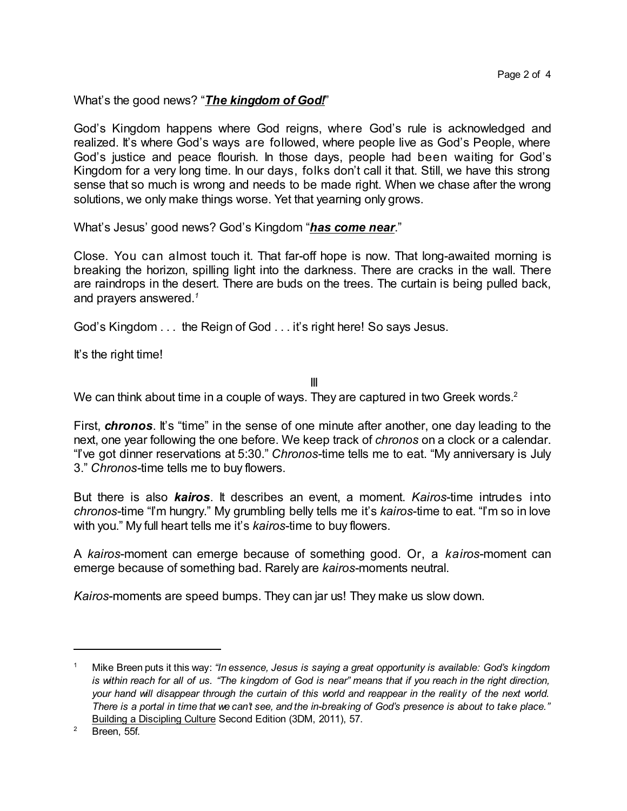What's the good news? "*The kingdom of God!*"

God's Kingdom happens where God reigns, where God's rule is acknowledged and realized. It's where God's ways are followed, where people live as God's People, where God's justice and peace flourish. In those days, people had been waiting for God's Kingdom for a very long time. In our days, folks don't call it that. Still, we have this strong sense that so much is wrong and needs to be made right. When we chase after the wrong solutions, we only make things worse. Yet that yearning only grows.

What's Jesus' good news? God's Kingdom "*has come near*."

Close. You can almost touch it. That far-off hope is now. That long-awaited morning is breaking the horizon, spilling light into the darkness. There are cracks in the wall. There are raindrops in the desert. There are buds on the trees. The curtain is being pulled back, and prayers answered.*<sup>1</sup>*

God's Kingdom . . . the Reign of God . . . it's right here! So says Jesus.

It's the right time!

III

We can think about time in a couple of ways. They are captured in two Greek words.<sup>2</sup>

First, *chronos*. It's "time" in the sense of one minute after another, one day leading to the next, one year following the one before. We keep track of *chronos* on a clock or a calendar. "I've got dinner reservations at 5:30." *Chronos*-time tells me to eat. "My anniversary is July 3." *Chronos-*time tells me to buy flowers.

But there is also *kairos*. It describes an event, a moment. *Kairos*-time intrudes into *chronos*-time "I'm hungry." My grumbling belly tells me it's *kairos*-time to eat. "I'm so in love with you." My full heart tells me it's *kairos*-time to buy flowers.

A *kairos*-moment can emerge because of something good. Or, a *kairos*-moment can emerge because of something bad. Rarely are *kairos*-moments neutral.

*Kairos*-moments are speed bumps. They can jar us! They make us slow down.

<sup>1</sup> Mike Breen puts it this way: *"In essence, Jesus is saying a great opportunity is available: God's kingdom* is within reach for all of us. "The kingdom of God is near" means that if you reach in the right direction, your hand will disappear through the curtain of this world and reappear in the reality of the next world. There is a portal in time that we can't see, and the in-breaking of God's presence is about to take place." Building a Discipling Culture Second Edition (3DM, 2011), 57.

 $2$  Breen, 55f.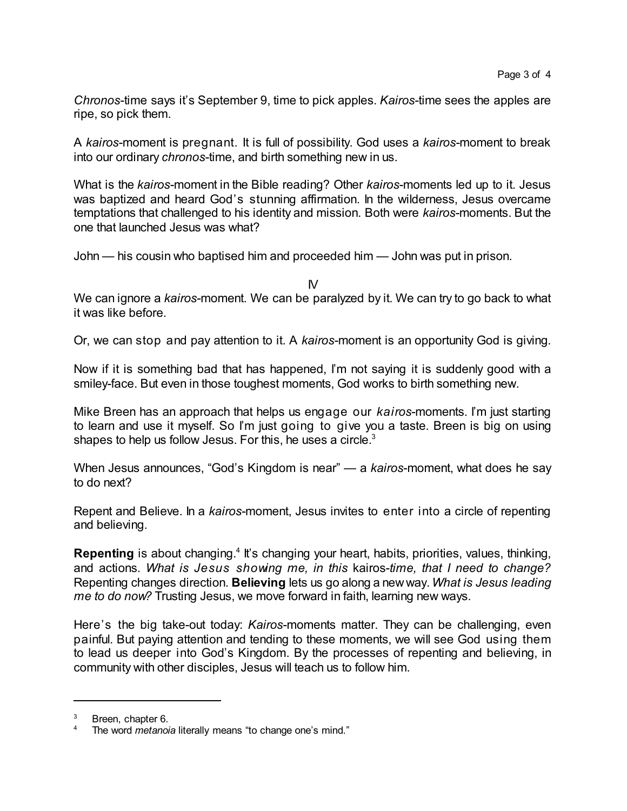*Chronos*-time says it's September 9, time to pick apples. *Kairos*-time sees the apples are ripe, so pick them.

A *kairos*-moment is pregnant. It is full of possibility. God uses a *kairos*-moment to break into our ordinary *chronos*-time, and birth something new in us.

What is the *kairos*-moment in the Bible reading? Other *kairos*-moments led up to it. Jesus was baptized and heard God's stunning affirmation. In the wilderness, Jesus overcame temptations that challenged to his identity and mission. Both were *kairos*-moments. But the one that launched Jesus was what?

John — his cousin who baptised him and proceeded him — John was put in prison.

IV

We can ignore a *kairos*-moment. We can be paralyzed by it. We can try to go back to what it was like before.

Or, we can stop and pay attention to it. A *kairos*-moment is an opportunity God is giving.

Now if it is something bad that has happened, I'm not saying it is suddenly good with a smiley-face. But even in those toughest moments, God works to birth something new.

Mike Breen has an approach that helps us engage our *kairos*-moments. I'm just starting to learn and use it myself. So I'm just going to give you a taste. Breen is big on using shapes to help us follow Jesus. For this, he uses a circle.<sup>3</sup>

When Jesus announces, "God's Kingdom is near" — a *kairos*-moment, what does he say to do next?

Repent and Believe. In a *kairos*-moment, Jesus invites to enter into a circle of repenting and believing.

Repenting is about changing.<sup>4</sup> It's changing your heart, habits, priorities, values, thinking, and actions. *What is Jesus showing me, in this* kairos-*time, that I need to change?* Repenting changes direction. **Believing** lets us go along a new way.*What is Jesus leading me to do now?* Trusting Jesus, we move forward in faith, learning new ways.

Here's the big take-out today: *Kairos*-moments matter. They can be challenging, even painful. But paying attention and tending to these moments, we will see God using them to lead us deeper into God's Kingdom. By the processes of repenting and believing, in community with other disciples, Jesus will teach us to follow him.

Breen, chapter 6.

The word *metanoia* literally means "to change one's mind."